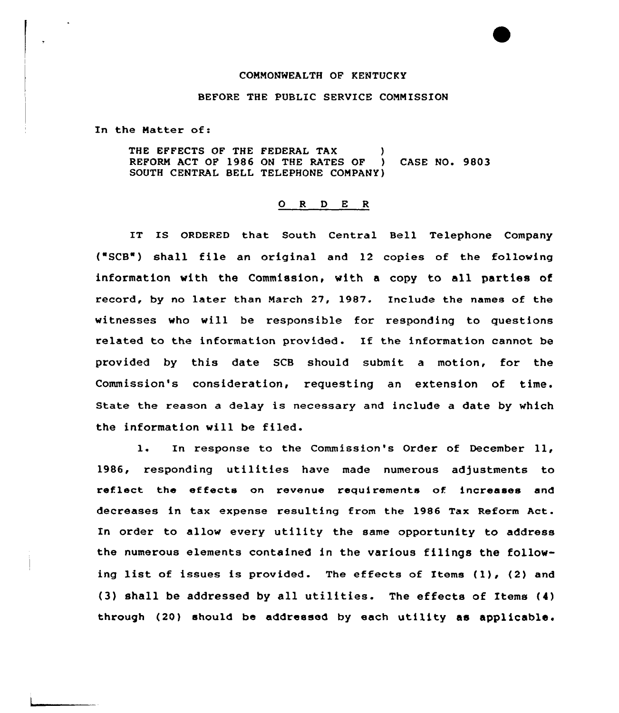## COMMONWEALTH OF KENTUCKY

## BEFORE THE PUBLIC SERVICE CONNISSION

In the Hatter of:

THE EFFECTS OF THE FEDERAL TAX REFORN ACT OF 1986 ON THE RATES OF ) CASE NO. 9803 SOUTH CENTRAL BELL TELEPHONE COMPANY)

## 0 R <sup>D</sup> E <sup>R</sup>

IT IS ORDERED that South Central Bell Telephone Company  $("SCB")$  shall file an original and 12 copies of the following information with the Commission, with a copy to all parties of record, by no later than March 27, 1987. Include the names of the witnesses who will be responsible for responding to questions related to the information provided. If the information cannot be provided by this date SCB should submit a motion, for the Commission's consideration, requesting an extension of time. State the reason <sup>a</sup> delay is necessary and include a date by which the information will be filed.

1. In response to the Commission's Order of December ll, 1986, responding utilities have made numerous adjustments to reflect the effects on revenue requirements of increases and decreases in tax expense resulting from the 1986 Tax Reform Act. In order to allow every utility the same opportunity to address the numerous elements contained in the various filings the following list of issues is provided. The effects of Items (1), (2) and (3) shall be addressed by all utilities. The effects of Items (4) through (20) should be addressed by each utility as applicable.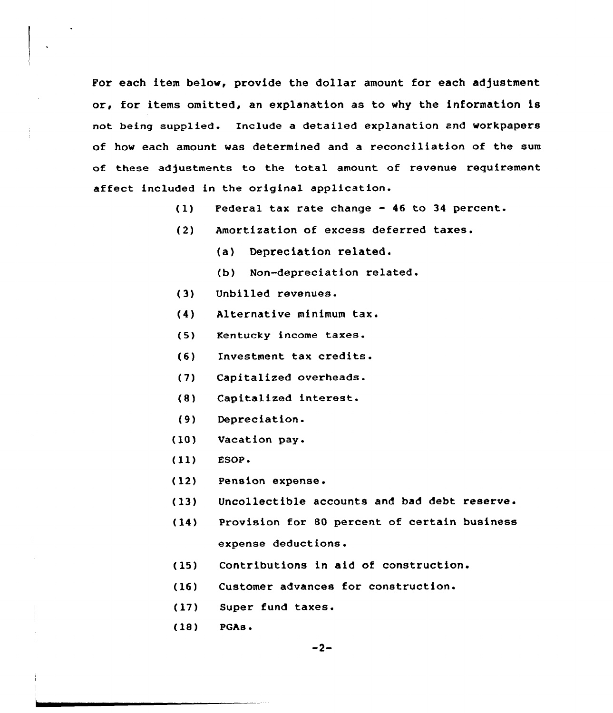For each item below, provide the dollar amount for each adjustment or, for items omitted, an explanation as to why the information is not being supplied. Include a detailed explanation and workpapers of how each amount was determined and a reconciliation of the sum of these adjustments to the total amount of revenue requirement affect included in the original application.

- (1) Federal tax rate change <sup>46</sup> to <sup>34</sup> percent.
- (2) Amortization of excess deferred taxes.
	- (a) Depreciation related.
	- (b) Non-depreciation related.
- (3) Unbilled revenues.
- (4) Alternative minimum tax.
- Kentucky income taxes.  $(5)$
- (6) Investment tax credits.
- $(7)$ Capitalized overheads.
- (8) Capitalized interest.
- $(9)$ Depreciation.
- (10) Vacation pay.
- (11) ESOP <sup>~</sup>
- (12) Pension expense.
- (13) Uncollectible accounts and bad debt reserve.
- (14) Provision for 80 percent of certain business expense deductions.
- (15) Contributions in aid of construction.
- (16) Customer advances for construction.
- (17) Super fund taxes.
- (18) PGAs.

 $-2-$